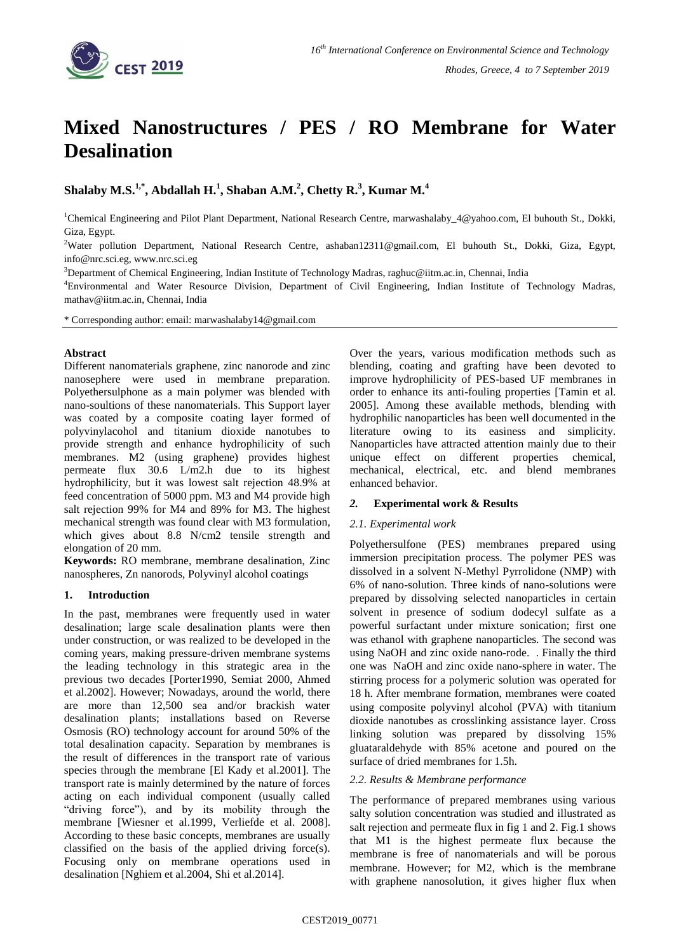

# **Mixed Nanostructures / PES / RO Membrane for Water Desalination**

**Shalaby M.S.1,\*, Abdallah H.<sup>1</sup> , Shaban A.M.<sup>2</sup> , Chetty R.<sup>3</sup> , Kumar M.<sup>4</sup>**

<sup>1</sup>Chemical Engineering and Pilot Plant Department, National Research Centre, marwashalaby\_4@yahoo.com, El buhouth St., Dokki, Giza, Egypt.

<sup>2</sup>Water pollution Department, National Research Centre, ashaban12311@gmail.com, El buhouth St., Dokki, Giza, Egypt, info@nrc.sci.eg, www.nrc.sci.eg

<sup>3</sup>Department of Chemical Engineering, Indian Institute of Technology Madras, raghuc@iitm.ac.in, Chennai, India

<sup>4</sup>Environmental and Water Resource Division, Department of Civil Engineering, Indian Institute of Technology Madras, mathav@iitm.ac.in, Chennai, India

\* Corresponding author: email: marwashalaby14@gmail.com

## **Abstract**

Different nanomaterials graphene, zinc nanorode and zinc nanosephere were used in membrane preparation. Polyethersulphone as a main polymer was blended with nano-soultions of these nanomaterials. This Support layer was coated by a composite coating layer formed of polyvinylacohol and titanium dioxide nanotubes to provide strength and enhance hydrophilicity of such membranes. M2 (using graphene) provides highest permeate flux 30.6 L/m2.h due to its highest hydrophilicity, but it was lowest salt rejection 48.9% at feed concentration of 5000 ppm. M3 and M4 provide high salt rejection 99% for M4 and 89% for M3. The highest mechanical strength was found clear with M3 formulation, which gives about 8.8 N/cm2 tensile strength and elongation of 20 mm.

**Keywords:** RO membrane, membrane desalination, Zinc nanospheres, Zn nanorods, Polyvinyl alcohol coatings

## **1. Introduction**

In the past, membranes were frequently used in water desalination; large scale desalination plants were then under construction, or was realized to be developed in the coming years, making pressure-driven membrane systems the leading technology in this strategic area in the previous two decades [Porter1990, Semiat 2000, Ahmed et al.2002]. However; Nowadays, around the world, there are more than 12,500 sea and/or brackish water desalination plants; installations based on Reverse Osmosis (RO) technology account for around 50% of the total desalination capacity. Separation by membranes is the result of differences in the transport rate of various species through the membrane [El Kady et al.2001]. The transport rate is mainly determined by the nature of forces acting on each individual component (usually called "driving force"), and by its mobility through the membrane [Wiesner et al.1999, Verliefde et al. 2008]. According to these basic concepts, membranes are usually classified on the basis of the applied driving force(s). Focusing only on membrane operations used in desalination [Nghiem et al.2004, Shi et al.2014].

Over the years, various modification methods such as blending, coating and grafting have been devoted to improve hydrophilicity of PES-based UF membranes in order to enhance its anti-fouling properties [Tamin et al. 2005]. Among these available methods, blending with hydrophilic nanoparticles has been well documented in the literature owing to its easiness and simplicity. Nanoparticles have attracted attention mainly due to their unique effect on different properties chemical, mechanical, electrical, etc. and blend membranes enhanced behavior.

## *2.* **Experimental work & Results**

## *2.1. Experimental work*

Polyethersulfone (PES) membranes prepared using immersion precipitation process. The polymer PES was dissolved in a solvent N-Methyl Pyrrolidone (NMP) with 6% of nano-solution. Three kinds of nano-solutions were prepared by dissolving selected nanoparticles in certain solvent in presence of sodium dodecyl sulfate as a powerful surfactant under mixture sonication; first one was ethanol with graphene nanoparticles. The second was using NaOH and zinc oxide nano-rode. . Finally the third one was NaOH and zinc oxide nano-sphere in water. The stirring process for a polymeric solution was operated for 18 h. After membrane formation, membranes were coated using composite polyvinyl alcohol (PVA) with titanium dioxide nanotubes as crosslinking assistance layer. Cross linking solution was prepared by dissolving 15% gluataraldehyde with 85% acetone and poured on the surface of dried membranes for 1.5h.

#### *2.2. Results & Membrane performance*

The performance of prepared membranes using various salty solution concentration was studied and illustrated as salt rejection and permeate flux in fig 1 and 2. Fig.1 shows that M1 is the highest permeate flux because the membrane is free of nanomaterials and will be porous membrane. However; for M2, which is the membrane with graphene nanosolution, it gives higher flux when